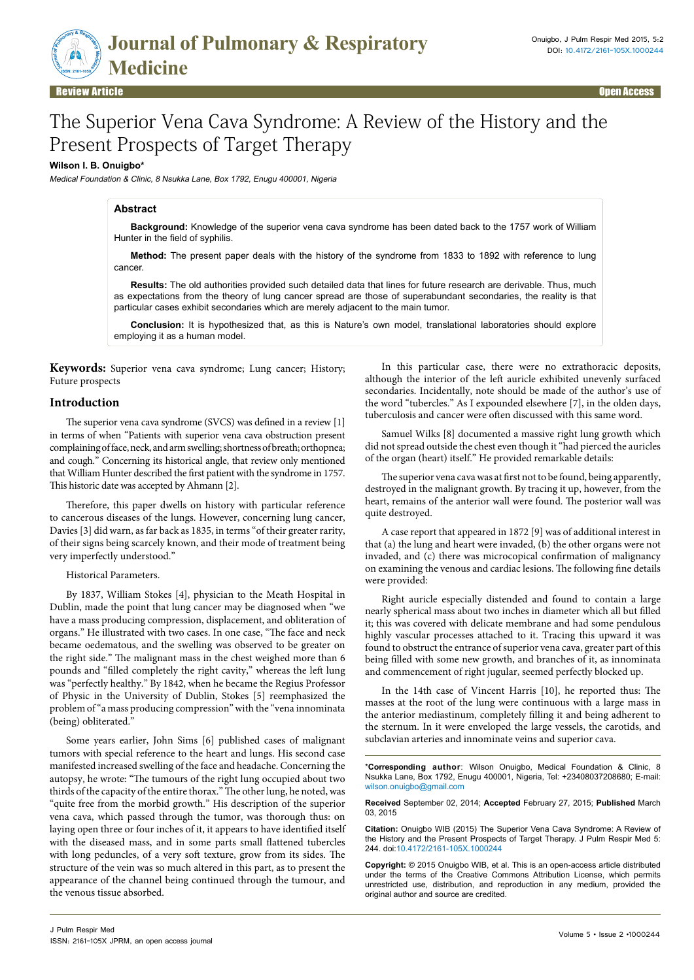

# The Superior Vena Cava Syndrome: A Review of the History and the Present Prospects of Target Therapy

## **Wilson I. B. Onuigbo\***

Medical Foundation & Clinic, 8 Nsukka Lane, Box 1792, Enugu 400001, Nigeria

# **Abstract**

**Background:** Knowledge of the superior vena cava syndrome has been dated back to the 1757 work of William Hunter in the field of syphilis.

**Method:** The present paper deals with the history of the syndrome from 1833 to 1892 with reference to lung cancer.

**Results:** The old authorities provided such detailed data that lines for future research are derivable. Thus, much as expectations from the theory of lung cancer spread are those of superabundant secondaries, the reality is that particular cases exhibit secondaries which are merely adjacent to the main tumor.

**Conclusion:** It is hypothesized that, as this is Nature's own model, translational laboratories should explore employing it as a human model.

**Keywords:** Superior vena cava syndrome; Lung cancer; History; Future prospects

# **Introduction**

The superior vena cava syndrome (SVCS) was defined in a review [1] in terms of when "Patients with superior vena cava obstruction present complaining of face, neck, and arm swelling; shortness of breath; orthopnea; and cough." Concerning its historical angle, that review only mentioned that William Hunter described the first patient with the syndrome in 1757. This historic date was accepted by Ahmann [2].

Therefore, this paper dwells on history with particular reference to cancerous diseases of the lungs. However, concerning lung cancer, Davies [3] did warn, as far back as 1835, in terms "of their greater rarity, of their signs being scarcely known, and their mode of treatment being very imperfectly understood."

#### Historical Parameters.

By 1837, William Stokes [4], physician to the Meath Hospital in Dublin, made the point that lung cancer may be diagnosed when "we have a mass producing compression, displacement, and obliteration of organs." He illustrated with two cases. In one case, "The face and neck became oedematous, and the swelling was observed to be greater on the right side." The malignant mass in the chest weighed more than 6 pounds and "filled completely the right cavity," whereas the left lung was "perfectly healthy." By 1842, when he became the Regius Professor of Physic in the University of Dublin, Stokes [5] reemphasized the problem of "a mass producing compression" with the "vena innominata (being) obliterated."

Some years earlier, John Sims [6] published cases of malignant tumors with special reference to the heart and lungs. His second case manifested increased swelling of the face and headache. Concerning the autopsy, he wrote: "The tumours of the right lung occupied about two thirds of the capacity of the entire thorax." The other lung, he noted, was "quite free from the morbid growth." His description of the superior vena cava, which passed through the tumor, was thorough thus: on laying open three or four inches of it, it appears to have identified itself with the diseased mass, and in some parts small flattened tubercles with long peduncles, of a very soft texture, grow from its sides. The structure of the vein was so much altered in this part, as to present the appearance of the channel being continued through the tumour, and the venous tissue absorbed.

In this particular case, there were no extrathoracic deposits, although the interior of the left auricle exhibited unevenly surfaced secondaries. Incidentally, note should be made of the author's use of the word "tubercles." As I expounded elsewhere [7], in the olden days, tuberculosis and cancer were often discussed with this same word.

Samuel Wilks [8] documented a massive right lung growth which did not spread outside the chest even though it "had pierced the auricles of the organ (heart) itself." He provided remarkable details:

The superior vena cava was at first not to be found, being apparently, destroyed in the malignant growth. By tracing it up, however, from the heart, remains of the anterior wall were found. The posterior wall was quite destroyed.

A case report that appeared in 1872 [9] was of additional interest in that (a) the lung and heart were invaded, (b) the other organs were not invaded, and (c) there was microcopical confirmation of malignancy on examining the venous and cardiac lesions. The following fine details were provided:

Right auricle especially distended and found to contain a large nearly spherical mass about two inches in diameter which all but filled it; this was covered with delicate membrane and had some pendulous highly vascular processes attached to it. Tracing this upward it was found to obstruct the entrance of superior vena cava, greater part of this being filled with some new growth, and branches of it, as innominata and commencement of right jugular, seemed perfectly blocked up.

In the 14th case of Vincent Harris [10], he reported thus: The masses at the root of the lung were continuous with a large mass in the anterior mediastinum, completely filling it and being adherent to the sternum. In it were enveloped the large vessels, the carotids, and subclavian arteries and innominate veins and superior cava.

\***Corresponding author**: Wilson Onuigbo, Medical Foundation & Clinic, 8 Nsukka Lane, Box 1792, Enugu 400001, Nigeria, Tel: +23408037208680; E-mail: wilson.onuigbo@gmail.com

**Received** September 02, 2014; **Accepted** February 27, 2015; **Published** March 03, 2015

**Citation:** Onuigbo WIB (2015) The Superior Vena Cava Syndrome: A Review of the History and the Present Prospects of Target Therapy. J Pulm Respir Med 5: 244. doi:10.4172/2161-105X.1000244

**Copyright:** © 2015 Onuigbo WIB, et al. This is an open-access article distributed under the terms of the Creative Commons Attribution License, which permits unrestricted use, distribution, and reproduction in any medium, provided the original author and source are credited.